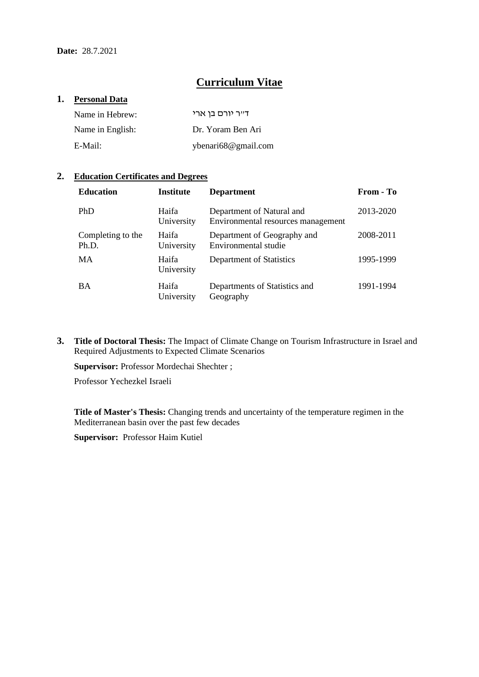# **Curriculum Vitae**

#### **1. Personal Data**

| Name in Hebrew:  | דייר יורם בו ארי    |
|------------------|---------------------|
| Name in English: | Dr. Yoram Ben Ari   |
| E-Mail:          | ybenari68@gmail.com |

# **2. Education Certificates and Degrees**

| <b>Education</b>           | <b>Institute</b>    | <b>Department</b>                                               | From - To |
|----------------------------|---------------------|-----------------------------------------------------------------|-----------|
| <b>PhD</b>                 | Haifa<br>University | Department of Natural and<br>Environmental resources management | 2013-2020 |
| Completing to the<br>Ph.D. | Haifa<br>University | Department of Geography and<br>Environmental studie             | 2008-2011 |
| MA                         | Haifa<br>University | Department of Statistics                                        | 1995-1999 |
| <b>BA</b>                  | Haifa<br>University | Departments of Statistics and<br>Geography                      | 1991-1994 |

**3. Title of Doctoral Thesis:** The Impact of Climate Change on Tourism Infrastructure in Israel and Required Adjustments to Expected Climate Scenarios

**Supervisor:** Professor Mordechai Shechter ;

Professor Yechezkel Israeli

**Title of Master's Thesis:** Changing trends and uncertainty of the temperature regimen in the Mediterranean basin over the past few decades

**Supervisor:** Professor Haim Kutiel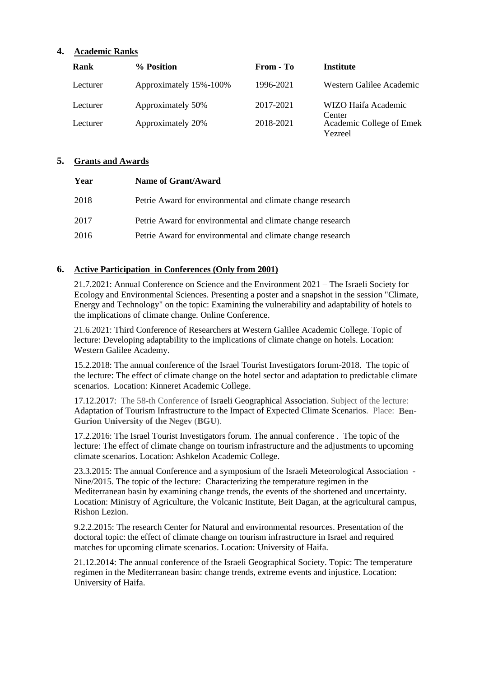# **4. Academic Ranks**

| Rank     | % Position             | From - To | Institute                           |
|----------|------------------------|-----------|-------------------------------------|
| Lecturer | Approximately 15%-100% | 1996-2021 | Western Galilee Academic            |
| Lecturer | Approximately 50%      | 2017-2021 | WIZO Haifa Academic<br>Center       |
| Lecturer | Approximately 20%      | 2018-2021 | Academic College of Emek<br>Yezreel |

## **5. Grants and Awards**

| Year | Name of Grant/Award                                        |
|------|------------------------------------------------------------|
| 2018 | Petrie Award for environmental and climate change research |
| 2017 | Petrie Award for environmental and climate change research |
| 2016 | Petrie Award for environmental and climate change research |

# **6. Active Participation in Conferences (Only from 2001)**

21.7.2021: Annual Conference on Science and the Environment 2021 – The Israeli Society for Ecology and Environmental Sciences. Presenting a poster and a snapshot in the session "Climate, Energy and Technology" on the topic: Examining the vulnerability and adaptability of hotels to the implications of climate change. Online Conference.

21.6.2021: Third Conference of Researchers at Western Galilee Academic College. Topic of lecture: Developing adaptability to the implications of climate change on hotels. Location: Western Galilee Academy.

15.2.2018: The annual conference of the Israel Tourist Investigators forum-2018. The topic of the lecture: The effect of climate change on the hotel sector and adaptation to predictable climate scenarios. Location: Kinneret Academic College.

17.12.2017: The 58-th Conference of Israeli Geographical Association. Subject of the lecture: Adaptation of Tourism Infrastructure to the Impact of Expected Climate Scenarios. Place: **Ben**-**Gurion University of the Negev** (**BGU**).

17.2.2016: The Israel Tourist Investigators forum. The annual conference . The topic of the lecture: The effect of climate change on tourism infrastructure and the adjustments to upcoming climate scenarios. Location: Ashkelon Academic College.

23.3.2015: The annual Conference and a symposium of the Israeli Meteorological Association - Nine/2015. The topic of the lecture: Characterizing the temperature regimen in the Mediterranean basin by examining change trends, the events of the shortened and uncertainty. Location: Ministry of Agriculture, the Volcanic Institute, Beit Dagan, at the agricultural campus, Rishon Lezion.

9.2.2.2015: The research Center for Natural and environmental resources. Presentation of the doctoral topic: the effect of climate change on tourism infrastructure in Israel and required matches for upcoming climate scenarios. Location: University of Haifa.

21.12.2014: The annual conference of the Israeli Geographical Society. Topic: The temperature regimen in the Mediterranean basin: change trends, extreme events and injustice. Location: University of Haifa.